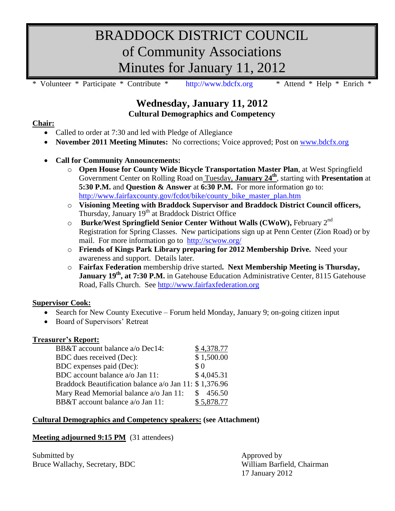# BRADDOCK DISTRICT COUNCIL of Community Associations Minutes for January 11, 2012

\* Volunteer \* Participate \* Contribute \* [http://www.bdcfx.org](http://www.bdcfx.org/) \* Attend \* Help \* Enrich \*

# **Wednesday, January 11, 2012 Cultural Demographics and Competency**

# **Chair:**

- Called to order at 7:30 and led with Pledge of Allegiance
- **November 2011 Meeting Minutes:** No corrections; Voice approved; Post on [www.bdcfx.org](http://www.bdcfx.org/)

# **Call for Community Announcements:**

- o **Open House for County Wide Bicycle Transportation Master Plan**, at West Springfield Government Center on Rolling Road on Tuesday, **January 24th**, starting with **Presentation** at **5:30 P.M.** and **Question & Answer** at **6:30 P.M.** For more information go to: [http://www.fairfaxcounty.gov/fcdot/bike/county\\_bike\\_master\\_plan.htm](http://www.fairfaxcounty.gov/fcdot/bike/county_bike_master_plan.htm)
- o **Visioning Meeting with Braddock Supervisor and Braddock District Council officers,**  Thursday, January 19<sup>th</sup> at Braddock District Office
- o **Burke/West Springfield Senior Center Without Walls (CWoW),** February 2 nd Registration for Spring Classes. New participations sign up at Penn Center (Zion Road) or by mail. For more information go to <http://scwow.org/>
- o **Friends of Kings Park Library preparing for 2012 Membership Drive.** Need your awareness and support. Details later.
- o **Fairfax Federation** membership drive started**. Next Membership Meeting is Thursday, January 19<sup>th</sup>, at 7:30 P.M.** in Gatehouse Education Administrative Center, 8115 Gatehouse Road, Falls Church.See [http://www.fairfaxfederation.org](http://www.fairfaxfederation.org/)

# **Supervisor Cook:**

- Search for New County Executive Forum held Monday, January 9; on-going citizen input
- Board of Supervisors' Retreat

## **Treasurer's Report:**

| BB&T account balance a/o Dec14:                        | \$4,378.77 |
|--------------------------------------------------------|------------|
| BDC dues received (Dec):                               | \$1,500.00 |
| BDC expenses paid (Dec):                               | $\$$ 0     |
| BDC account balance a/o Jan 11:                        | \$4,045.31 |
| Braddock Beautification balance a/o Jan 11: \$1,376.96 |            |
| Mary Read Memorial balance a/o Jan 11:                 | \$456.50   |
| BB&T account balance a/o Jan 11:                       | \$5,878.77 |

## **Cultural Demographics and Competency speakers: (see Attachment)**

## **Meeting adjourned 9:15 PM** (31 attendees)

| Submitted by                   | Approved by                |
|--------------------------------|----------------------------|
| Bruce Wallachy, Secretary, BDC | William Barfield, Chairman |
|                                | 17 January 2012            |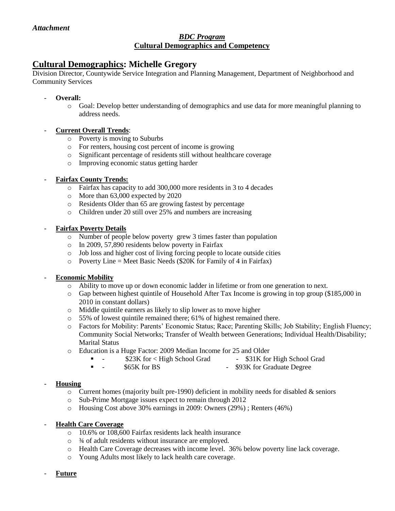## *BDC Program* **Cultural Demographics and Competency**

# **Cultural Demographics: Michelle Gregory**

Division Director, Countywide Service Integration and Planning Management, Department of Neighborhood and Community Services

- **Overall:**
	- o Goal: Develop better understanding of demographics and use data for more meaningful planning to address needs.

## - **Current Overall Trends**:

- o Poverty is moving to Suburbs
- o For renters, housing cost percent of income is growing
- o Significant percentage of residents still without healthcare coverage
- o Improving economic status getting harder
- **Fairfax County Trends:**
	- o Fairfax has capacity to add 300,000 more residents in 3 to 4 decades
	- o More than 63,000 expected by 2020
	- o Residents Older than 65 are growing fastest by percentage
	- o Children under 20 still over 25% and numbers are increasing

#### - **Fairfax Poverty Details**

- o Number of people below poverty grew 3 times faster than population
- o In 2009, 57,890 residents below poverty in Fairfax
- o Job loss and higher cost of living forcing people to locate outside cities
- $\circ$  Poverty Line = Meet Basic Needs (\$20K for Family of 4 in Fairfax)

## - **Economic Mobility**

- Ability to move up or down economic ladder in lifetime or from one generation to next.
- o Gap between highest quintile of Household After Tax Income is growing in top group (\$185,000 in 2010 in constant dollars)
- o Middle quintile earners as likely to slip lower as to move higher
- $\circ$  55% of lowest quintile remained there; 61% of highest remained there.
- o Factors for Mobility: Parents' Economic Status; Race; Parenting Skills; Job Stability; English Fluency; Community Social Networks; Transfer of Wealth between Generations; Individual Health/Disability; Marital Status
- o Education is a Huge Factor: 2009 Median Income for 25 and Older
	- - \$23K for < High School Grad \$31K for High School Grad
	- - \$65K for BS \$93K for Graduate Degree

## - **Housing**

- $\circ$  Current homes (majority built pre-1990) deficient in mobility needs for disabled & seniors
- o Sub-Prime Mortgage issues expect to remain through 2012
- o Housing Cost above 30% earnings in 2009: Owners (29%) ; Renters (46%)

#### **Health Care Coverage**

- o 10.6% or 108,600 Fairfax residents lack health insurance
- o ¾ of adult residents without insurance are employed.
- o Health Care Coverage decreases with income level. 36% below poverty line lack coverage.
- o Young Adults most likely to lack health care coverage.
- **Future**